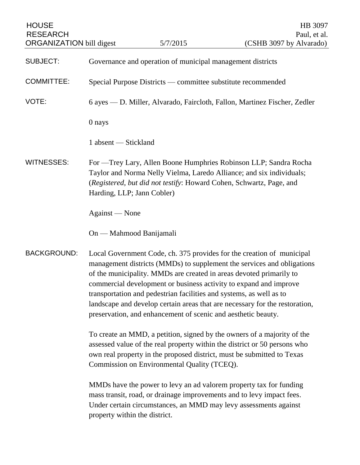| <b>HOUSE</b><br><b>RESEARCH</b><br><b>ORGANIZATION bill digest</b> |                                                                                                                                                                                                                                                                                                                                                                                                                                                                                                                    | 5/7/2015 | HB 3097<br>Paul, et al.<br>(CSHB 3097 by Alvarado)                                                                                                                                                              |
|--------------------------------------------------------------------|--------------------------------------------------------------------------------------------------------------------------------------------------------------------------------------------------------------------------------------------------------------------------------------------------------------------------------------------------------------------------------------------------------------------------------------------------------------------------------------------------------------------|----------|-----------------------------------------------------------------------------------------------------------------------------------------------------------------------------------------------------------------|
| <b>SUBJECT:</b>                                                    | Governance and operation of municipal management districts                                                                                                                                                                                                                                                                                                                                                                                                                                                         |          |                                                                                                                                                                                                                 |
| <b>COMMITTEE:</b>                                                  | Special Purpose Districts — committee substitute recommended                                                                                                                                                                                                                                                                                                                                                                                                                                                       |          |                                                                                                                                                                                                                 |
| VOTE:                                                              |                                                                                                                                                                                                                                                                                                                                                                                                                                                                                                                    |          | 6 ayes — D. Miller, Alvarado, Faircloth, Fallon, Martinez Fischer, Zedler                                                                                                                                       |
|                                                                    | 0 nays                                                                                                                                                                                                                                                                                                                                                                                                                                                                                                             |          |                                                                                                                                                                                                                 |
|                                                                    | 1 absent — Stickland                                                                                                                                                                                                                                                                                                                                                                                                                                                                                               |          |                                                                                                                                                                                                                 |
| <b>WITNESSES:</b>                                                  | For — Trey Lary, Allen Boone Humphries Robinson LLP; Sandra Rocha<br>Taylor and Norma Nelly Vielma, Laredo Alliance; and six individuals;<br>(Registered, but did not testify: Howard Cohen, Schwartz, Page, and<br>Harding, LLP; Jann Cobler)                                                                                                                                                                                                                                                                     |          |                                                                                                                                                                                                                 |
|                                                                    | Against — None                                                                                                                                                                                                                                                                                                                                                                                                                                                                                                     |          |                                                                                                                                                                                                                 |
|                                                                    | On — Mahmood Banijamali                                                                                                                                                                                                                                                                                                                                                                                                                                                                                            |          |                                                                                                                                                                                                                 |
| <b>BACKGROUND:</b>                                                 | Local Government Code, ch. 375 provides for the creation of municipal<br>management districts (MMDs) to supplement the services and obligations<br>of the municipality. MMDs are created in areas devoted primarily to<br>commercial development or business activity to expand and improve<br>transportation and pedestrian facilities and systems, as well as to<br>landscape and develop certain areas that are necessary for the restoration,<br>preservation, and enhancement of scenic and aesthetic beauty. |          |                                                                                                                                                                                                                 |
|                                                                    | To create an MMD, a petition, signed by the owners of a majority of the<br>assessed value of the real property within the district or 50 persons who<br>own real property in the proposed district, must be submitted to Texas<br>Commission on Environmental Quality (TCEQ).                                                                                                                                                                                                                                      |          |                                                                                                                                                                                                                 |
|                                                                    | property within the district.                                                                                                                                                                                                                                                                                                                                                                                                                                                                                      |          | MMDs have the power to levy an ad valorem property tax for funding<br>mass transit, road, or drainage improvements and to levy impact fees.<br>Under certain circumstances, an MMD may levy assessments against |